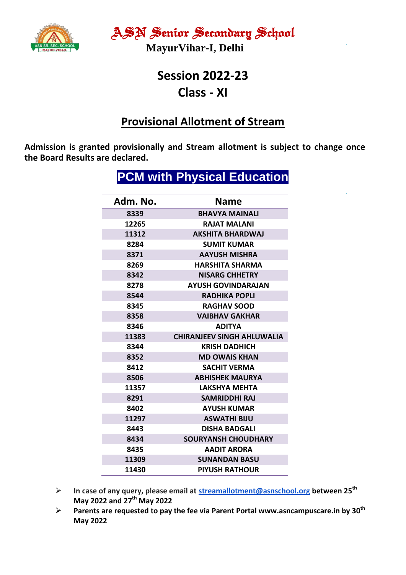

ASN Senior Secondary School **MayurVihar-I, Delhi**

# **Session 2022-23 Class - XI**

### **Provisional Allotment of Stream**

**Admission is granted provisionally and Stream allotment is subject to change once the Board Results are declared.**

**PCM with Physical Education**

|          | <b>FUM WILLI FILYSIUAI LUUUALIUII</b> |
|----------|---------------------------------------|
| Adm. No. | <b>Name</b>                           |
| 8339     | <b>BHAVYA MAINALI</b>                 |
| 12265    | <b>RAJAT MALANI</b>                   |
| 11312    | <b>AKSHITA BHARDWAJ</b>               |
| 8284     | <b>SUMIT KUMAR</b>                    |
| 8371     | <b>AAYUSH MISHRA</b>                  |
| 8269     | <b>HARSHITA SHARMA</b>                |
| 8342     | <b>NISARG CHHETRY</b>                 |
| 8278     | <b>AYUSH GOVINDARAJAN</b>             |
| 8544     | <b>RADHIKA POPLI</b>                  |
| 8345     | <b>RAGHAV SOOD</b>                    |
| 8358     | <b>VAIBHAV GAKHAR</b>                 |
| 8346     | <b>ADITYA</b>                         |
| 11383    | <b>CHIRANJEEV SINGH AHLUWALIA</b>     |
| 8344     | <b>KRISH DADHICH</b>                  |
| 8352     | <b>MD OWAIS KHAN</b>                  |
| 8412     | <b>SACHIT VERMA</b>                   |
| 8506     | <b>ABHISHEK MAURYA</b>                |
| 11357    | LAKSHYA MEHTA                         |
| 8291     | <b>SAMRIDDHI RAJ</b>                  |
| 8402     | <b>AYUSH KUMAR</b>                    |
| 11297    | <b>ASWATHI BIJU</b>                   |
| 8443     | <b>DISHA BADGALI</b>                  |
| 8434     | <b>SOURYANSH CHOUDHARY</b>            |
| 8435     | <b>AADIT ARORA</b>                    |
| 11309    | <b>SUNANDAN BASU</b>                  |
| 11430    | <b>PIYUSH RATHOUR</b>                 |

- **In case of any query, please email at [streamallotment@asnschool.org](mailto:streamallotment@asnschool.org) between 25 th May 2022 and 27 th May 2022**
- **Parents are requested to pay the fee via Parent Portal www.asncampuscare.in by 30th May 2022**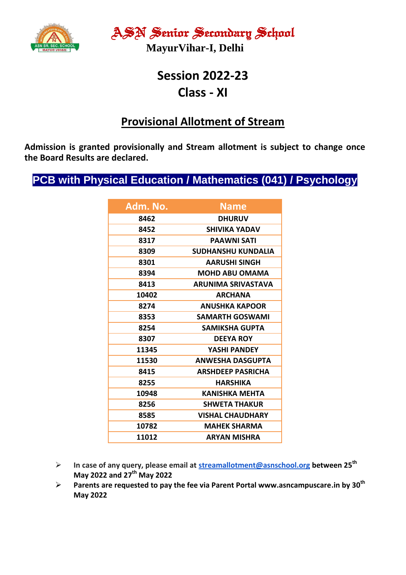

ASN Senior Secondary School **MayurVihar-I, Delhi**

# **Session 2022-23 Class - XI**

### **Provisional Allotment of Stream**

**Admission is granted provisionally and Stream allotment is subject to change once the Board Results are declared.**

### **PCB with Physical Education / Mathematics (041) / Psychology**

| Adm. No. | <b>Name</b>               |  |  |  |
|----------|---------------------------|--|--|--|
| 8462     | <b>DHURUV</b>             |  |  |  |
| 8452     | <b>SHIVIKA YADAV</b>      |  |  |  |
| 8317     | <b>PAAWNI SATI</b>        |  |  |  |
| 8309     | <b>SUDHANSHU KUNDALIA</b> |  |  |  |
| 8301     | AARUSHI SINGH             |  |  |  |
| 8394     | <b>MOHD ABU OMAMA</b>     |  |  |  |
| 8413     | <b>ARUNIMA SRIVASTAVA</b> |  |  |  |
| 10402    | <b>ARCHANA</b>            |  |  |  |
| 8274     | <b>ANUSHKA KAPOOR</b>     |  |  |  |
| 8353     | <b>SAMARTH GOSWAMI</b>    |  |  |  |
| 8254     | SAMIKSHA GUPTA            |  |  |  |
| 8307     | <b>DEEYA ROY</b>          |  |  |  |
| 11345    | YASHI PANDEY              |  |  |  |
| 11530    | <b>ANWESHA DASGUPTA</b>   |  |  |  |
| 8415     | <b>ARSHDEEP PASRICHA</b>  |  |  |  |
| 8255     | <b>HARSHIKA</b>           |  |  |  |
| 10948    | KANISHKA MEHTA            |  |  |  |
| 8256     | <b>SHWETA THAKUR</b>      |  |  |  |
| 8585     | <b>VISHAL CHAUDHARY</b>   |  |  |  |
| 10782    | <b>MAHEK SHARMA</b>       |  |  |  |
| 11012    | ARYAN MISHRA              |  |  |  |

 **In case of any query, please email at [streamallotment@asnschool.org](mailto:streamallotment@asnschool.org) between 25 th May 2022 and 27 th May 2022**

 **Parents are requested to pay the fee via Parent Portal www.asncampuscare.in by 30th May 2022**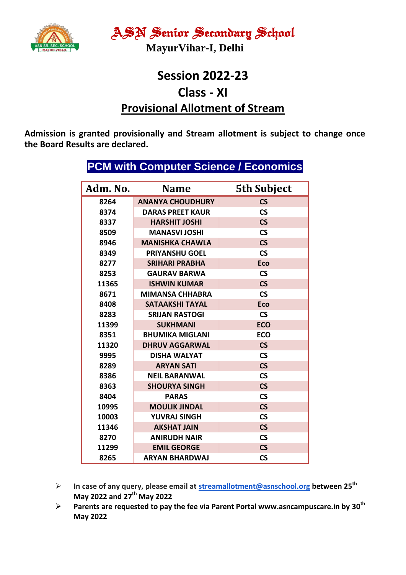

ASN Senior Secondary School **MayurVihar-I, Delhi**

# **Session 2022-23 Class - XI Provisional Allotment of Stream**

**Admission is granted provisionally and Stream allotment is subject to change once the Board Results are declared.**

| Adm. No. | <b>Name</b>             | <b>5th Subject</b>       |
|----------|-------------------------|--------------------------|
| 8264     | <b>ANANYA CHOUDHURY</b> | $\mathsf{CS}\phantom{0}$ |
| 8374     | <b>DARAS PREET KAUR</b> | $\mathsf{CS}\phantom{0}$ |
| 8337     | <b>HARSHIT JOSHI</b>    | $\mathsf{CS}\phantom{0}$ |
| 8509     | <b>MANASVI JOSHI</b>    | $\mathsf{CS}\phantom{0}$ |
| 8946     | <b>MANISHKA CHAWLA</b>  | $\overline{\text{CS}}$   |
| 8349     | <b>PRIYANSHU GOEL</b>   | $\mathsf{CS}\phantom{0}$ |
| 8277     | <b>SRIHARI PRABHA</b>   | <b>Eco</b>               |
| 8253     | <b>GAURAV BARWA</b>     | $\mathsf{CS}\phantom{0}$ |
| 11365    | <b>ISHWIN KUMAR</b>     | $\mathsf{CS}\phantom{0}$ |
| 8671     | <b>MIMANSA CHHABRA</b>  | $\mathsf{CS}\phantom{0}$ |
| 8408     | <b>SATAAKSHI TAYAL</b>  | <b>Eco</b>               |
| 8283     | <b>SRUAN RASTOGI</b>    | <b>CS</b>                |
| 11399    | <b>SUKHMANI</b>         | <b>ECO</b>               |
| 8351     | <b>BHUMIKA MIGLANI</b>  | <b>ECO</b>               |
| 11320    | <b>DHRUV AGGARWAL</b>   | $\mathsf{CS}\phantom{0}$ |
| 9995     | <b>DISHA WALYAT</b>     | $\mathsf{CS}\phantom{0}$ |
| 8289     | <b>ARYAN SATI</b>       | $\mathsf{CS}\phantom{0}$ |
| 8386     | <b>NEIL BARANWAL</b>    | $\mathsf{CS}\phantom{0}$ |
| 8363     | <b>SHOURYA SINGH</b>    | $\mathsf{CS}\phantom{0}$ |
| 8404     | <b>PARAS</b>            | $\mathsf{CS}\phantom{0}$ |
| 10995    | <b>MOULIK JINDAL</b>    | $\mathsf{CS}\phantom{0}$ |
| 10003    | <b>YUVRAJ SINGH</b>     | $\mathsf{CS}\phantom{0}$ |
| 11346    | <b>AKSHAT JAIN</b>      | $\mathsf{CS}\phantom{0}$ |
| 8270     | <b>ANIRUDH NAIR</b>     | $\mathsf{CS}\phantom{0}$ |
| 11299    | <b>EMIL GEORGE</b>      | $\mathsf{CS}\phantom{0}$ |
| 8265     | <b>ARYAN BHARDWAJ</b>   | <b>CS</b>                |

### **PCM with Computer Science / Economics**

- **In case of any query, please email at [streamallotment@asnschool.org](mailto:streamallotment@asnschool.org) between 25 th May 2022 and 27 th May 2022**
- **Parents are requested to pay the fee via Parent Portal www.asncampuscare.in by 30th May 2022**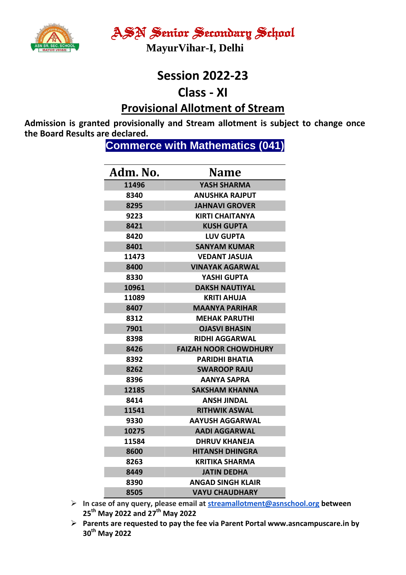

**MayurVihar-I, Delhi**

#### **Session 2022-23**

**Class - XI**

#### **Provisional Allotment of Stream**

**Admission is granted provisionally and Stream allotment is subject to change once the Board Results are declared.**

**Commerce with Mathematics (041)**

| Adm. No. | <b>Name</b>                  |  |  |
|----------|------------------------------|--|--|
| 11496    | YASH SHARMA                  |  |  |
| 8340     | <b>ANUSHKA RAJPUT</b>        |  |  |
| 8295     | <b>JAHNAVI GROVER</b>        |  |  |
| 9223     | KIRTI CHAITANYA              |  |  |
| 8421     | <b>KUSH GUPTA</b>            |  |  |
| 8420     | <b>LUV GUPTA</b>             |  |  |
| 8401     | <b>SANYAM KUMAR</b>          |  |  |
| 11473    | <b>VEDANT JASUJA</b>         |  |  |
| 8400     | <b>VINAYAK AGARWAL</b>       |  |  |
| 8330     | YASHI GUPTA                  |  |  |
| 10961    | <b>DAKSH NAUTIYAL</b>        |  |  |
| 11089    | KRITI AHUJA                  |  |  |
| 8407     | <b>MAANYA PARIHAR</b>        |  |  |
| 8312     | <b>MEHAK PARUTHI</b>         |  |  |
| 7901     | <b>OJASVI BHASIN</b>         |  |  |
| 8398     | <b>RIDHI AGGARWAL</b>        |  |  |
| 8426     | <b>FAIZAH NOOR CHOWDHURY</b> |  |  |
| 8392     | PARIDHI BHATIA               |  |  |
| 8262     | <b>SWAROOP RAJU</b>          |  |  |
| 8396     | AANYA SAPRA                  |  |  |
| 12185    | <b>SAKSHAM KHANNA</b>        |  |  |
| 8414     | <b>ANSH JINDAL</b>           |  |  |
| 11541    | <b>RITHWIK ASWAL</b>         |  |  |
| 9330     | AAYUSH AGGARWAL              |  |  |
| 10275    | <b>AADI AGGARWAL</b>         |  |  |
| 11584    | <b>DHRUV KHANEJA</b>         |  |  |
| 8600     | <b>HITANSH DHINGRA</b>       |  |  |
| 8263     | <b>KRITIKA SHARMA</b>        |  |  |
| 8449     | <b>JATIN DEDHA</b>           |  |  |
| 8390     | ANGAD SINGH KLAIR            |  |  |
| 8505     | <b>VAYU CHAUDHARY</b>        |  |  |

- **In case of any query, please email at [streamallotment@asnschool.org](mailto:streamallotment@asnschool.org) between th May 2022 and 27 th May 2022**
- **Parents are requested to pay the fee via Parent Portal www.asncampuscare.in by th May 2022**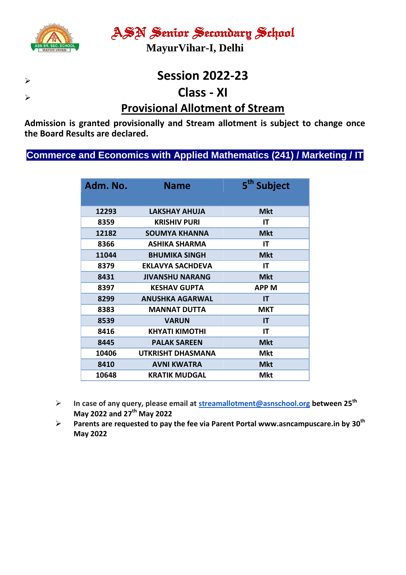

**MayurVihar-I, Delhi**

# **Session 2022-23 Class - XI Provisional Allotment of Stream**

**Admission is granted provisionally and Stream allotment is subject to change once the Board Results are declared.**

**Commerce and Economics with Applied Mathematics (241) / Marketing / IT**

| Adm. No. | <b>Name</b>              | 5 <sup>th</sup> Subject |
|----------|--------------------------|-------------------------|
| 12293    | LAKSHAY AHUJA            | <b>Mkt</b>              |
| 8359     | <b>KRISHIV PURI</b>      | IΤ                      |
| 12182    | <b>SOUMYA KHANNA</b>     | <b>Mkt</b>              |
| 8366     | ASHIKA SHARMA            | ΙT                      |
| 11044    | <b>BHUMIKA SINGH</b>     | <b>Mkt</b>              |
| 8379     | <b>EKLAVYA SACHDEVA</b>  | IΤ                      |
| 8431     | <b>JIVANSHU NARANG</b>   | <b>Mkt</b>              |
| 8397     | <b>KESHAV GUPTA</b>      | APP M                   |
| 8299     | <b>ANUSHKA AGARWAL</b>   | IT                      |
| 8383     | <b>MANNAT DUTTA</b>      | MKT                     |
| 8539     | <b>VARUN</b>             | IT                      |
| 8416     | KHYATI KIMOTHI           | ΙT                      |
| 8445     | <b>PALAK SAREEN</b>      | <b>Mkt</b>              |
| 10406    | <b>UTKRISHT DHASMANA</b> | Mkt                     |
| 8410     | <b>AVNI KWATRA</b>       | <b>Mkt</b>              |
| 10648    | <b>KRATIK MUDGAL</b>     | Mkt                     |

- **In case of any query, please email at [streamallotment@asnschool.org](mailto:streamallotment@asnschool.org) between 25 th May 2022 and 27 th May 2022**
- **Parents are requested to pay the fee via Parent Portal www.asncampuscare.in by 30th May 2022**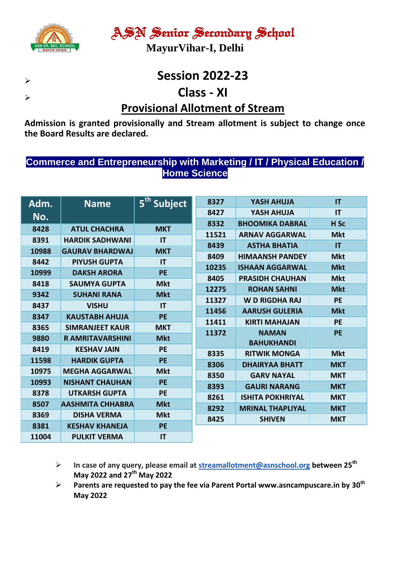

**MayurVihar-I, Delhi**

# **Session 2022-23 Class - XI Provisional Allotment of Stream**

**Admission is granted provisionally and Stream allotment is subject to change once the Board Results are declared.**

#### **Commerce and Entrepreneurship with Marketing / IT / Physical Education / Home Science**

| Adm.  | <b>Name</b>             | 5 <sup>th</sup><br><b>Subject</b> | 8327  | YASH AHUJA              | $\mathsf{I}$           |
|-------|-------------------------|-----------------------------------|-------|-------------------------|------------------------|
| No.   |                         |                                   | 8427  | YASH AHUJA              | IT                     |
|       |                         |                                   | 8332  | <b>BHOOMIKA DABRAL</b>  | H <sub>Sc</sub>        |
| 8428  | <b>ATUL CHACHRA</b>     | <b>MKT</b>                        | 11521 | <b>ARNAV AGGARWAL</b>   | <b>Mkt</b>             |
| 8391  | <b>HARDIK SADHWANI</b>  | IT                                | 8439  | <b>ASTHA BHATIA</b>     | $\mathsf{I}\mathsf{T}$ |
| 10988 | <b>GAURAV BHARDWAJ</b>  | <b>MKT</b>                        | 8409  | <b>HIMAANSH PANDEY</b>  | <b>Mkt</b>             |
| 8442  | <b>PIYUSH GUPTA</b>     | IT                                | 10235 | <b>ISHAAN AGGARWAL</b>  | <b>Mkt</b>             |
| 10999 | <b>DAKSH ARORA</b>      | <b>PE</b>                         |       |                         |                        |
| 8418  | <b>SAUMYA GUPTA</b>     | <b>Mkt</b>                        | 8405  | <b>PRASIDH CHAUHAN</b>  | <b>Mkt</b>             |
| 9342  | <b>SUHANI RANA</b>      | <b>Mkt</b>                        | 12275 | <b>ROHAN SAHNI</b>      | <b>Mkt</b>             |
| 8437  | <b>VISHU</b>            | IT                                | 11327 | <b>WD RIGDHA RAJ</b>    | PE                     |
| 8347  | <b>KAUSTABH AHUJA</b>   | <b>PE</b>                         | 11456 | <b>AARUSH GULERIA</b>   | <b>Mkt</b>             |
|       |                         |                                   | 11411 | <b>KIRTI MAHAJAN</b>    | <b>PE</b>              |
| 8365  | <b>SIMRANJEET KAUR</b>  | <b>MKT</b>                        | 11372 | <b>NAMAN</b>            | <b>PE</b>              |
| 9880  | <b>R AMRITAVARSHINI</b> | <b>Mkt</b>                        |       | <b>BAHUKHANDI</b>       |                        |
| 8419  | <b>KESHAV JAIN</b>      | <b>PE</b>                         | 8335  | <b>RITWIK MONGA</b>     | <b>Mkt</b>             |
| 11598 | <b>HARDIK GUPTA</b>     | <b>PE</b>                         | 8306  | <b>DHAIRYAA BHATT</b>   | <b>MKT</b>             |
| 10975 | <b>MEGHA AGGARWAL</b>   | <b>Mkt</b>                        | 8350  | <b>GARV NAYAL</b>       | <b>MKT</b>             |
| 10993 | <b>NISHANT CHAUHAN</b>  | <b>PE</b>                         | 8393  | <b>GAURI NARANG</b>     | <b>MKT</b>             |
| 8378  | <b>UTKARSH GUPTA</b>    | <b>PE</b>                         |       |                         |                        |
| 8507  | <b>AASHMITA CHHABRA</b> | <b>Mkt</b>                        | 8261  | <b>ISHITA POKHRIYAL</b> | <b>MKT</b>             |
| 8369  | <b>DISHA VERMA</b>      | <b>Mkt</b>                        | 8292  | <b>MRINAL THAPLIYAL</b> | <b>MKT</b>             |
| 8381  | <b>KESHAV KHANEJA</b>   | <b>PE</b>                         | 8425  | <b>SHIVEN</b>           | <b>MKT</b>             |
|       |                         |                                   |       |                         |                        |
| 11004 | <b>PULKIT VERMA</b>     | IT                                |       |                         |                        |

 **In case of any query, please email at [streamallotment@asnschool.org](mailto:streamallotment@asnschool.org) between 25 th May 2022 and 27 th May 2022**

 **Parents are requested to pay the fee via Parent Portal www.asncampuscare.in by 30th May 2022**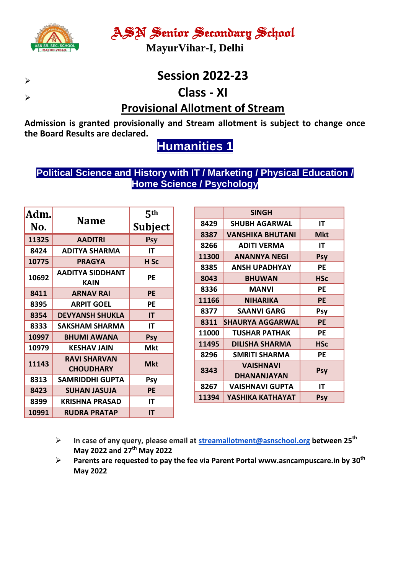

**MayurVihar-I, Delhi**

### **Session 2022-23**

### **Class - XI**

#### **Provisional Allotment of Stream**

**Admission is granted provisionally and Stream allotment is subject to change once the Board Results are declared.**

# **Humanities 1**

#### **Political Science and History with IT / Marketing / Physical Education / Home Science / Psychology**

| Adm.  | <b>Name</b>                             | 5 <sup>th</sup> |
|-------|-----------------------------------------|-----------------|
| No.   |                                         | <b>Subject</b>  |
| 11325 | <b>AADITRI</b>                          | <b>Psy</b>      |
| 8424  | <b>ADITYA SHARMA</b>                    | IT              |
| 10775 | <b>PRAGYA</b>                           | H <sub>Sc</sub> |
| 10692 | <b>AADITYA SIDDHANT</b><br><b>KAIN</b>  | PE              |
| 8411  | <b>ARNAV RAI</b>                        | PE              |
| 8395  | <b>ARPIT GOEL</b>                       | РE              |
| 8354  | <b>DEVYANSH SHUKLA</b>                  | IT              |
| 8333  | <b>SAKSHAM SHARMA</b>                   | ΙT              |
| 10997 | <b>BHUMI AWANA</b>                      | <b>Psy</b>      |
| 10979 | <b>KESHAV JAIN</b>                      | <b>Mkt</b>      |
| 11143 | <b>RAVI SHARVAN</b><br><b>CHOUDHARY</b> | <b>Mkt</b>      |
| 8313  | <b>SAMRIDDHI GUPTA</b>                  | Psy             |
| 8423  | <b>SUHAN JASUJA</b>                     | PE              |
| 8399  | <b>KRISHNA PRASAD</b>                   | IT              |
| 10991 | <b>RUDRA PRATAP</b>                     | IT              |

| <b>SINGH</b>         |            |  |
|----------------------|------------|--|
| <b>SHUBH AGARWAL</b> | IT         |  |
| VANSHIKA BHUTANI     | Mkt        |  |
| <b>ADITI VERMA</b>   | ΙT         |  |
| <b>ANANNYA NEGI</b>  | <b>Psy</b> |  |
| <b>ANSH UPADHYAY</b> | РE         |  |
| <b>BHUWAN</b>        | <b>HSc</b> |  |
| <b>MANVI</b>         | РE         |  |
| <b>NIHARIKA</b>      | PE         |  |
| <b>SAANVI GARG</b>   | Psy        |  |
| SHAURYA AGGARWAL     | <b>PE</b>  |  |
| <b>TUSHAR PATHAK</b> | РE         |  |
| DILISHA SHARMA       | <b>HSc</b> |  |
| SMRITI SHARMA        | РE         |  |
| <b>VAISHNAVI</b>     |            |  |
| <b>DHANANJAYAN</b>   | <b>Psy</b> |  |
| VAISHNAVI GUPTA      | ΙT         |  |
| YASHIKA KATHAYAT     | <b>Psy</b> |  |
|                      |            |  |

- **In case of any query, please email at [streamallotment@asnschool.org](mailto:streamallotment@asnschool.org) between 25 th May 2022 and 27 th May 2022**
- **Parents are requested to pay the fee via Parent Portal www.asncampuscare.in by 30th May 2022**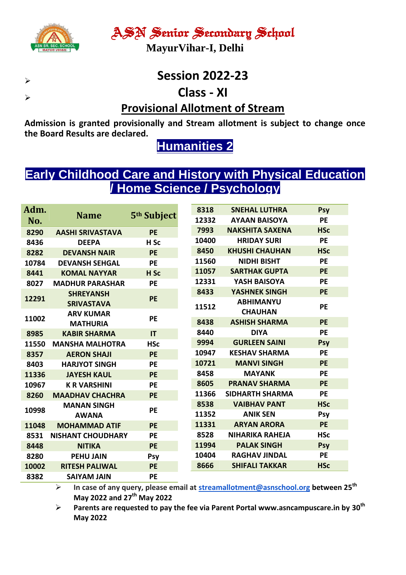

**MayurVihar-I, Delhi**

### **Session 2022-23**

### **Class - XI**

### **Provisional Allotment of Stream**

**Admission is granted provisionally and Stream allotment is subject to change once the Board Results are declared.**

## **Humanities 2**

### **Early Childhood Care and History with Physical Education / Home Science / Psychology**

| Adm.  |                          |                         |  | 8318  | <b>SNEHAL LUTHRA</b>   | <b>Psy</b> |
|-------|--------------------------|-------------------------|--|-------|------------------------|------------|
| No.   | <b>Name</b>              | 5 <sup>th</sup> Subject |  | 12332 | <b>AYAAN BAISOYA</b>   | <b>PE</b>  |
| 8290  | <b>AASHI SRIVASTAVA</b>  | PE                      |  | 7993  | <b>NAKSHITA SAXENA</b> | <b>HSc</b> |
| 8436  | <b>DEEPA</b>             | H <sub>Sc</sub>         |  | 10400 | <b>HRIDAY SURI</b>     | PE         |
| 8282  | <b>DEVANSH NAIR</b>      | PE                      |  | 8450  | <b>KHUSHI CHAUHAN</b>  | <b>HSc</b> |
| 10784 | <b>DEVANSH SEHGAL</b>    | <b>PE</b>               |  | 11560 | <b>NIDHI BISHT</b>     | <b>PE</b>  |
| 8441  | <b>KOMAL NAYYAR</b>      | H <sub>Sc</sub>         |  | 11057 | <b>SARTHAK GUPTA</b>   | <b>PE</b>  |
| 8027  | <b>MADHUR PARASHAR</b>   | PE                      |  | 12331 | YASH BAISOYA           | PE         |
| 12291 | <b>SHREYANSH</b>         |                         |  | 8433  | <b>YASHNEK SINGH</b>   | <b>PE</b>  |
|       | <b>SRIVASTAVA</b>        | PE                      |  | 11512 | <b>ABHIMANYU</b>       | PE         |
| 11002 | <b>ARV KUMAR</b>         | PE                      |  |       | <b>CHAUHAN</b>         |            |
|       | <b>MATHURIA</b>          |                         |  | 8438  | <b>ASHISH SHARMA</b>   | <b>PE</b>  |
| 8985  | <b>KABIR SHARMA</b>      | IT                      |  | 8440  | <b>DIYA</b>            | <b>PE</b>  |
| 11550 | <b>MANSHA MALHOTRA</b>   | <b>HSc</b>              |  | 9994  | <b>GURLEEN SAINI</b>   | Psy        |
| 8357  | <b>AERON SHAJI</b>       | PE                      |  | 10947 | <b>KESHAV SHARMA</b>   | <b>PE</b>  |
| 8403  | <b>HARJYOT SINGH</b>     | PE                      |  | 10721 | <b>MANVI SINGH</b>     | <b>PE</b>  |
| 11336 | <b>JAYESH KAUL</b>       | PE                      |  | 8458  | <b>MAYANK</b>          | <b>PE</b>  |
| 10967 | <b>K R VARSHINI</b>      | <b>PE</b>               |  | 8605  | <b>PRANAV SHARMA</b>   | <b>PE</b>  |
| 8260  | <b>MAADHAV CHACHRA</b>   | <b>PE</b>               |  | 11366 | <b>SIDHARTH SHARMA</b> | <b>PE</b>  |
| 10998 | <b>MANAN SINGH</b>       | PE                      |  | 8538  | <b>VAIBHAV PANT</b>    | <b>HSc</b> |
|       | <b>AWANA</b>             |                         |  | 11352 | <b>ANIK SEN</b>        | <b>Psy</b> |
| 11048 | <b>MOHAMMAD ATIF</b>     | PE                      |  | 11331 | <b>ARYAN ARORA</b>     | <b>PE</b>  |
| 8531  | <b>NISHANT CHOUDHARY</b> | PE                      |  | 8528  | <b>NIHARIKA RAHEJA</b> | <b>HSc</b> |
| 8448  | <b>NITIKA</b>            | PE                      |  | 11994 | <b>PALAK SINGH</b>     | <b>Psy</b> |
| 8280  | <b>PEHU JAIN</b>         | <b>Psy</b>              |  | 10404 | <b>RAGHAV JINDAL</b>   | <b>PE</b>  |
| 10002 | <b>RITESH PALIWAL</b>    | PE                      |  | 8666  | <b>SHIFALI TAKKAR</b>  | <b>HSc</b> |
| 8382  | <b>SAIYAM JAIN</b>       | PE                      |  |       |                        |            |

 **In case of any query, please email at [streamallotment@asnschool.org](mailto:streamallotment@asnschool.org) between 25 th May 2022 and 27 th May 2022**

 **Parents are requested to pay the fee via Parent Portal www.asncampuscare.in by 30th May 2022**